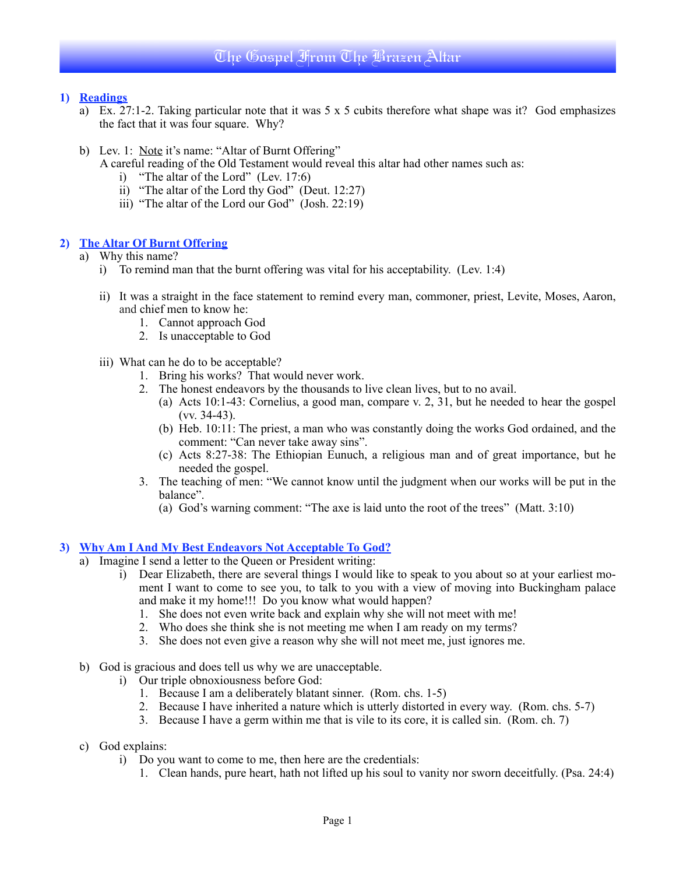## **1) Readings**

- a) Ex. 27:1-2. Taking particular note that it was 5 x 5 cubits therefore what shape was it? God emphasizes the fact that it was four square. Why?
- b) Lev. 1: Note it's name: "Altar of Burnt Offering"

A careful reading of the Old Testament would reveal this altar had other names such as:

- i) "The altar of the Lord" (Lev. 17:6)
- ii) "The altar of the Lord thy God" (Deut. 12:27)
- iii) "The altar of the Lord our God" (Josh. 22:19)

## **2) The Altar Of Burnt Offering**

- a) Why this name?
	- i) To remind man that the burnt offering was vital for his acceptability. (Lev. 1:4)
	- ii) It was a straight in the face statement to remind every man, commoner, priest, Levite, Moses, Aaron, and chief men to know he:
		- 1. Cannot approach God
		- 2. Is unacceptable to God
	- iii) What can he do to be acceptable?
		- 1. Bring his works? That would never work.
		- 2. The honest endeavors by the thousands to live clean lives, but to no avail.
			- (a) Acts 10:1-43: Cornelius, a good man, compare v. 2, 31, but he needed to hear the gospel (vv. 34-43).
			- (b) Heb. 10:11: The priest, a man who was constantly doing the works God ordained, and the comment: "Can never take away sins".
			- (c) Acts 8:27-38: The Ethiopian Eunuch, a religious man and of great importance, but he needed the gospel.
		- 3. The teaching of men: "We cannot know until the judgment when our works will be put in the balance".
			- (a) God's warning comment: "The axe is laid unto the root of the trees" (Matt. 3:10)

#### **3) Why Am I And My Best Endeavors Not Acceptable To God?**

- a) Imagine I send a letter to the Queen or President writing:
	- i) Dear Elizabeth, there are several things I would like to speak to you about so at your earliest moment I want to come to see you, to talk to you with a view of moving into Buckingham palace and make it my home!!! Do you know what would happen?
		- 1. She does not even write back and explain why she will not meet with me!
		- 2. Who does she think she is not meeting me when I am ready on my terms?
		- 3. She does not even give a reason why she will not meet me, just ignores me.
- b) God is gracious and does tell us why we are unacceptable.
	- i) Our triple obnoxiousness before God:
		- 1. Because I am a deliberately blatant sinner. (Rom. chs. 1-5)
		- 2. Because I have inherited a nature which is utterly distorted in every way. (Rom. chs. 5-7)
		- 3. Because I have a germ within me that is vile to its core, it is called sin. (Rom. ch. 7)
- c) God explains:
	- i) Do you want to come to me, then here are the credentials:
		- 1. Clean hands, pure heart, hath not lifted up his soul to vanity nor sworn deceitfully. (Psa. 24:4)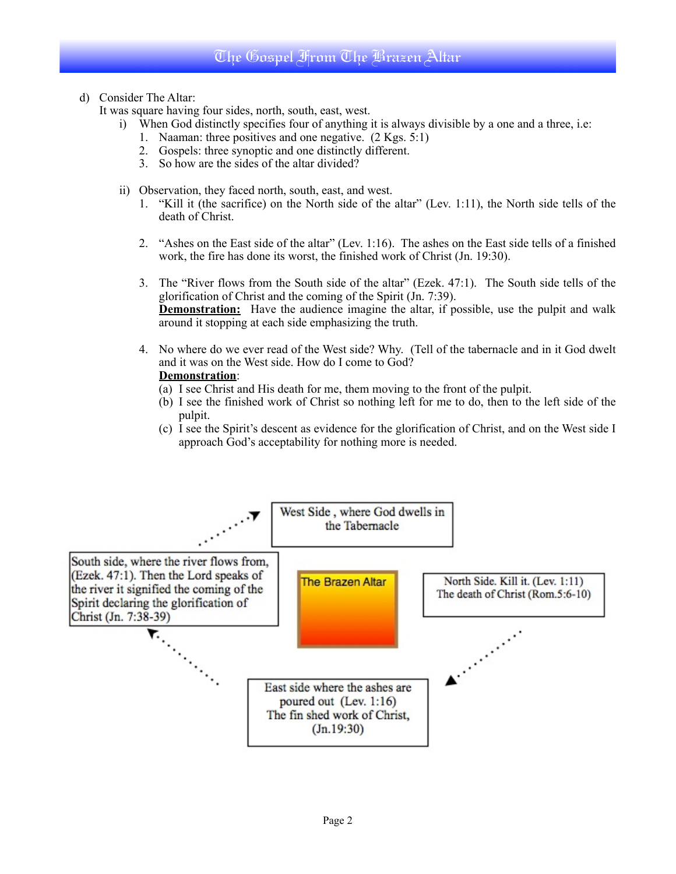# The Gospel From The Brazen Altar

d) Consider The Altar:

It was square having four sides, north, south, east, west.

- i) When God distinctly specifies four of anything it is always divisible by a one and a three, i.e:
	- 1. Naaman: three positives and one negative. (2 Kgs. 5:1)
	- 2. Gospels: three synoptic and one distinctly different.
	- 3. So how are the sides of the altar divided?
- ii) Observation, they faced north, south, east, and west.
	- 1. "Kill it (the sacrifice) on the North side of the altar" (Lev. 1:11), the North side tells of the death of Christ.
	- 2. "Ashes on the East side of the altar" (Lev. 1:16). The ashes on the East side tells of a finished work, the fire has done its worst, the finished work of Christ (Jn. 19:30).
	- 3. The "River flows from the South side of the altar" (Ezek. 47:1). The South side tells of the glorification of Christ and the coming of the Spirit (Jn. 7:39). **Demonstration:** Have the audience imagine the altar, if possible, use the pulpit and walk around it stopping at each side emphasizing the truth.
	- 4. No where do we ever read of the West side? Why. (Tell of the tabernacle and in it God dwelt and it was on the West side. How do I come to God?

## **Demonstration**:

- (a) I see Christ and His death for me, them moving to the front of the pulpit.
- (b) I see the finished work of Christ so nothing left for me to do, then to the left side of the pulpit.
- (c) I see the Spirit's descent as evidence for the glorification of Christ, and on the West side I approach God's acceptability for nothing more is needed.